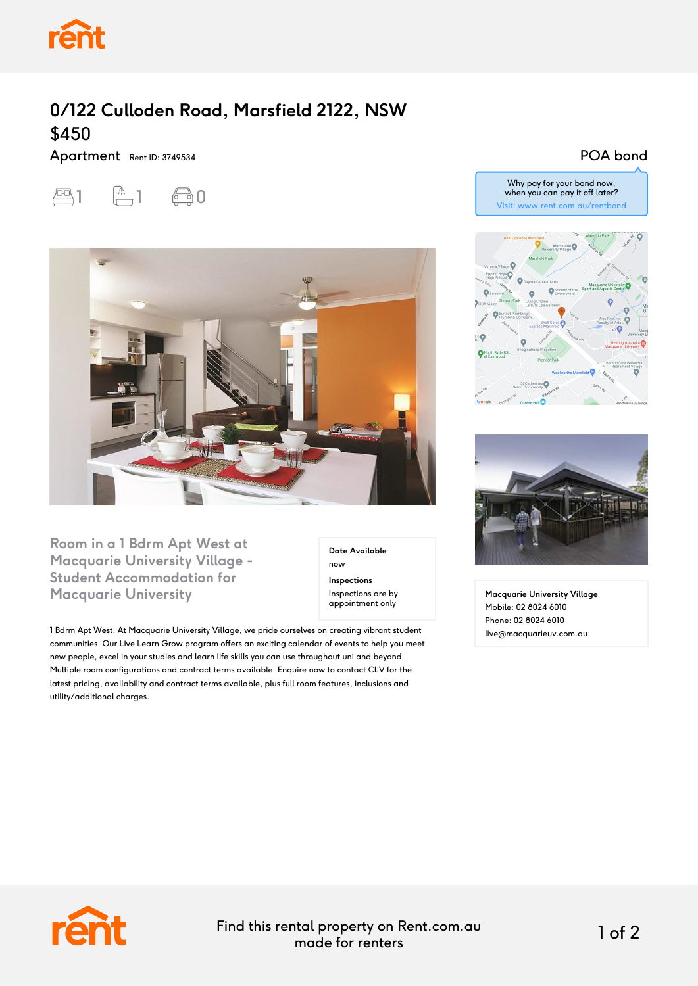

## **0/122 Culloden Road, Marsfield 2122, NSW** \$450

Apartment Rent ID: 3749534





**Room in a 1 Bdrm Apt West at Macquarie University Village - Student Accommodation for Macquarie University**

**Date Available** now **Inspections** Inspections are by appointment only

1 Bdrm Apt West. At Macquarie University Village, we pride ourselves on creating vibrant student communities. Our Live Learn Grow program offers an exciting calendar of events to help you meet new people, excel in your studies and learn life skills you can use throughout uni and beyond. Multiple room configurations and contract terms available. Enquire now to contact CLV for the latest pricing, availability and contract terms available, plus full room features, inclusions and utility/additional charges.

## POA bond





**Macquarie University Village** Mobile: 02 8024 6010 Phone: 02 8024 6010 live@macquarieuv.com.au